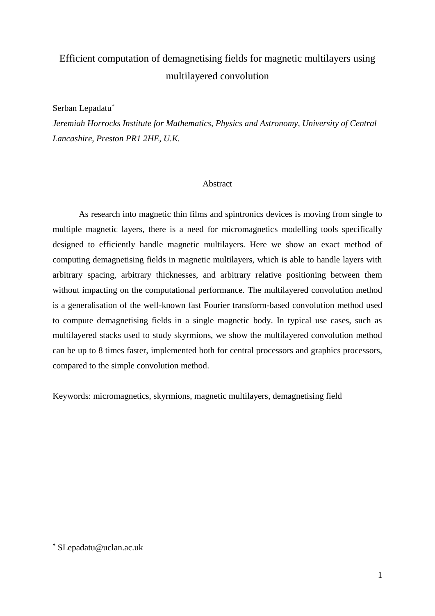# Efficient computation of demagnetising fields for magnetic multilayers using multilayered convolution

Serban Lepadatu\*

*Jeremiah Horrocks Institute for Mathematics, Physics and Astronomy, University of Central Lancashire, Preston PR1 2HE, U.K.* 

#### Abstract

As research into magnetic thin films and spintronics devices is moving from single to multiple magnetic layers, there is a need for micromagnetics modelling tools specifically designed to efficiently handle magnetic multilayers. Here we show an exact method of computing demagnetising fields in magnetic multilayers, which is able to handle layers with arbitrary spacing, arbitrary thicknesses, and arbitrary relative positioning between them without impacting on the computational performance. The multilayered convolution method is a generalisation of the well-known fast Fourier transform-based convolution method used to compute demagnetising fields in a single magnetic body. In typical use cases, such as multilayered stacks used to study skyrmions, we show the multilayered convolution method can be up to 8 times faster, implemented both for central processors and graphics processors, compared to the simple convolution method.

Keywords: micromagnetics, skyrmions, magnetic multilayers, demagnetising field

**\*** SLepadatu@uclan.ac.uk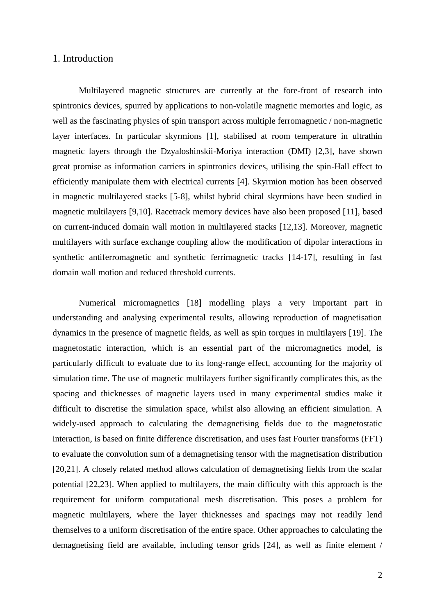## 1. Introduction

<span id="page-1-5"></span><span id="page-1-4"></span>Multilayered magnetic structures are currently at the fore-front of research into spintronics devices, spurred by applications to non-volatile magnetic memories and logic, as well as the fascinating physics of spin transport across multiple ferromagnetic / non-magnetic layer interfaces. In particular skyrmions [1], stabilised at room temperature in ultrathin magnetic layers through the Dzyaloshinskii-Moriya interaction (DMI) [2,3], have shown great promise as information carriers in spintronics devices, utilising the spin-Hall effect to efficiently manipulate them with electrical currents [4]. Skyrmion motion has been observed in magnetic multilayered stacks [5-8], whilst hybrid chiral skyrmions have been studied in magnetic multilayers [9,10]. Racetrack memory devices have also been proposed [11], based on current-induced domain wall motion in multilayered stacks [12,13]. Moreover, magnetic multilayers with surface exchange coupling allow the modification of dipolar interactions in synthetic antiferromagnetic and synthetic ferrimagnetic tracks [14-17], resulting in fast domain wall motion and reduced threshold currents.

<span id="page-1-3"></span><span id="page-1-2"></span><span id="page-1-1"></span><span id="page-1-0"></span>Numerical micromagnetics [18] modelling plays a very important part in understanding and analysing experimental results, allowing reproduction of magnetisation dynamics in the presence of magnetic fields, as well as spin torques in multilayers [19]. The magnetostatic interaction, which is an essential part of the micromagnetics model, is particularly difficult to evaluate due to its long-range effect, accounting for the majority of simulation time. The use of magnetic multilayers further significantly complicates this, as the spacing and thicknesses of magnetic layers used in many experimental studies make it difficult to discretise the simulation space, whilst also allowing an efficient simulation. A widely-used approach to calculating the demagnetising fields due to the magnetostatic interaction, is based on finite difference discretisation, and uses fast Fourier transforms (FFT) to evaluate the convolution sum of a demagnetising tensor with the magnetisation distribution [20,21]. A closely related method allows calculation of demagnetising fields from the scalar potential [22,23]. When applied to multilayers, the main difficulty with this approach is the requirement for uniform computational mesh discretisation. This poses a problem for magnetic multilayers, where the layer thicknesses and spacings may not readily lend themselves to a uniform discretisation of the entire space. Other approaches to calculating the demagnetising field are available, including tensor grids [24], as well as finite element /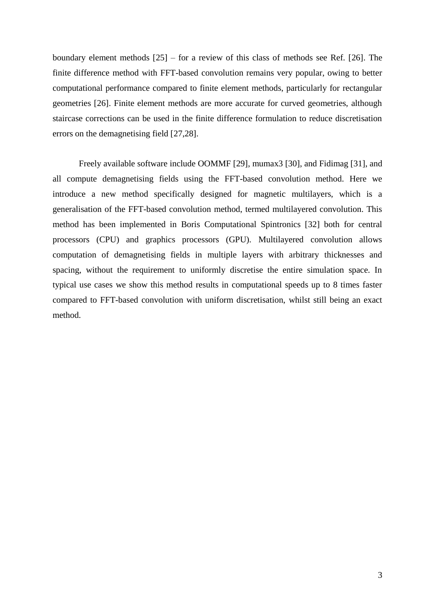<span id="page-2-0"></span>boundary element methods [25] – for a review of this class of methods see Ref. [26]. The finite difference method with FFT-based convolution remains very popular, owing to better computational performance compared to finite element methods, particularly for rectangular geometries [\[26\]](#page-2-0). Finite element methods are more accurate for curved geometries, although staircase corrections can be used in the finite difference formulation to reduce discretisation errors on the demagnetising field [27,28].

<span id="page-2-1"></span>Freely available software include OOMMF [29], mumax3 [30], and Fidimag [31], and all compute demagnetising fields using the FFT-based convolution method. Here we introduce a new method specifically designed for magnetic multilayers, which is a generalisation of the FFT-based convolution method, termed multilayered convolution. This method has been implemented in Boris Computational Spintronics [32] both for central processors (CPU) and graphics processors (GPU). Multilayered convolution allows computation of demagnetising fields in multiple layers with arbitrary thicknesses and spacing, without the requirement to uniformly discretise the entire simulation space. In typical use cases we show this method results in computational speeds up to 8 times faster compared to FFT-based convolution with uniform discretisation, whilst still being an exact method.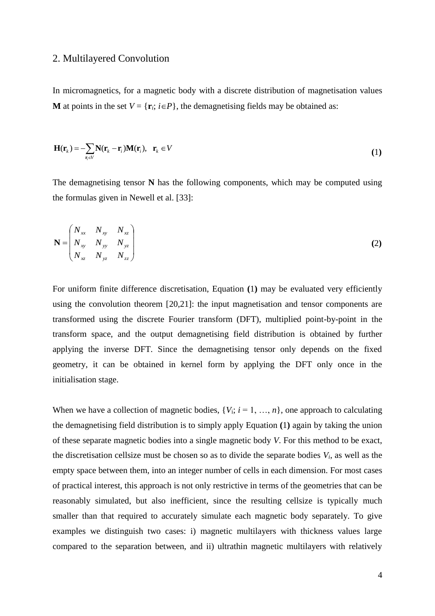#### 2. Multilayered Convolution

In micromagnetics, for a magnetic body with a discrete distribution of magnetisation values **M** at points in the set  $V = \{r_i; i \in P\}$ , the demagnetising fields may be obtained as:

<span id="page-3-0"></span>
$$
\mathbf{H}(\mathbf{r}_k) = -\sum_{\mathbf{r}_i \in V} \mathbf{N}(\mathbf{r}_k - \mathbf{r}_i) \mathbf{M}(\mathbf{r}_i), \quad \mathbf{r}_k \in V
$$
\n(1)

<span id="page-3-1"></span>The demagnetising tensor **N** has the following components, which may be computed using the formulas given in Newell et al. [33]:

$$
\mathbf{N} = \begin{pmatrix} N_{xx} & N_{xy} & N_{xz} \\ N_{xy} & N_{yy} & N_{yz} \\ N_{xz} & N_{yz} & N_{zz} \end{pmatrix}
$$
 (2)

For uniform finite difference discretisation, Equation **(**[1](#page-3-0)**)** may be evaluated very efficiently using the convolution theorem [\[20](#page-1-0)[,21\]](#page-1-1): the input magnetisation and tensor components are transformed using the discrete Fourier transform (DFT), multiplied point-by-point in the transform space, and the output demagnetising field distribution is obtained by further applying the inverse DFT. Since the demagnetising tensor only depends on the fixed geometry, it can be obtained in kernel form by applying the DFT only once in the initialisation stage.

When we have a collection of magnetic bodies,  $\{V_i; i = 1, ..., n\}$ , one approach to calculating the demagnetising field distribution is to simply apply Equation **(**[1](#page-3-0)**)** again by taking the union of these separate magnetic bodies into a single magnetic body *V*. For this method to be exact, the discretisation cellsize must be chosen so as to divide the separate bodies  $V_i$ , as well as the empty space between them, into an integer number of cells in each dimension. For most cases of practical interest, this approach is not only restrictive in terms of the geometries that can be reasonably simulated, but also inefficient, since the resulting cellsize is typically much smaller than that required to accurately simulate each magnetic body separately. To give examples we distinguish two cases: i) magnetic multilayers with thickness values large compared to the separation between, and ii) ultrathin magnetic multilayers with relatively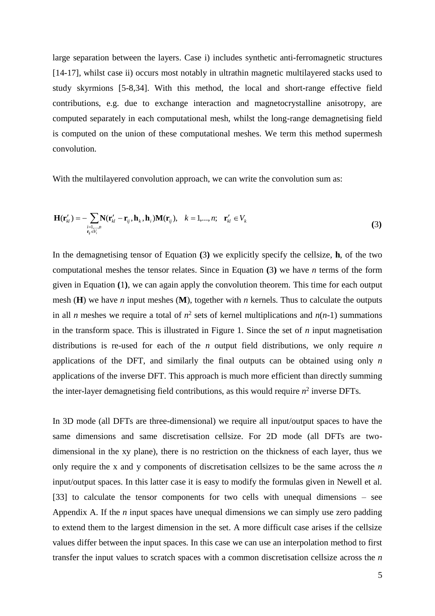<span id="page-4-1"></span>large separation between the layers. Case i) includes synthetic anti-ferromagnetic structures [\[14](#page-1-2)[-17\]](#page-1-3), whilst case ii) occurs most notably in ultrathin magnetic multilayered stacks used to study skyrmions [\[5-](#page-1-4)[8,](#page-1-5)34]. With this method, the local and short-range effective field contributions, e.g. due to exchange interaction and magnetocrystalline anisotropy, are computed separately in each computational mesh, whilst the long-range demagnetising field is computed on the union of these computational meshes. We term this method supermesh convolution.

With the multilayered convolution approach, we can write the convolution sum as:

<span id="page-4-0"></span>
$$
\mathbf{H}(\mathbf{r}'_{kl}) = -\sum_{\substack{i=1,\dots,n\\ \mathbf{r}_j \in V_i}} \mathbf{N}(\mathbf{r}'_{kl} - \mathbf{r}_{ij}, \mathbf{h}_k, \mathbf{h}_i) \mathbf{M}(\mathbf{r}_{ij}), \quad k = 1,\dots,n; \quad \mathbf{r}'_{kl} \in V_k
$$
\n(3)

In the demagnetising tensor of Equation **(**[3](#page-4-0)**)** we explicitly specify the cellsize, **h**, of the two computational meshes the tensor relates. Since in Equation **(**[3](#page-4-0)**)** we have *n* terms of the form given in Equation **(**[1](#page-3-0)**)**, we can again apply the convolution theorem. This time for each output mesh ( $\bf{H}$ ) we have *n* input meshes ( $\bf{M}$ ), together with *n* kernels. Thus to calculate the outputs in all *n* meshes we require a total of  $n^2$  sets of kernel multiplications and  $n(n-1)$  summations in the transform space. This is illustrated in Figure 1. Since the set of *n* input magnetisation distributions is re-used for each of the *n* output field distributions, we only require *n* applications of the DFT, and similarly the final outputs can be obtained using only *n* applications of the inverse DFT. This approach is much more efficient than directly summing the inter-layer demagnetising field contributions, as this would require  $n^2$  inverse DFTs.

In 3D mode (all DFTs are three-dimensional) we require all input/output spaces to have the same dimensions and same discretisation cellsize. For 2D mode (all DFTs are twodimensional in the xy plane), there is no restriction on the thickness of each layer, thus we only require the x and y components of discretisation cellsizes to be the same across the *n* input/output spaces. In this latter case it is easy to modify the formulas given in Newell et al. [\[33\]](#page-3-1) to calculate the tensor components for two cells with unequal dimensions – see Appendix A. If the *n* input spaces have unequal dimensions we can simply use zero padding to extend them to the largest dimension in the set. A more difficult case arises if the cellsize values differ between the input spaces. In this case we can use an interpolation method to first transfer the input values to scratch spaces with a common discretisation cellsize across the *n*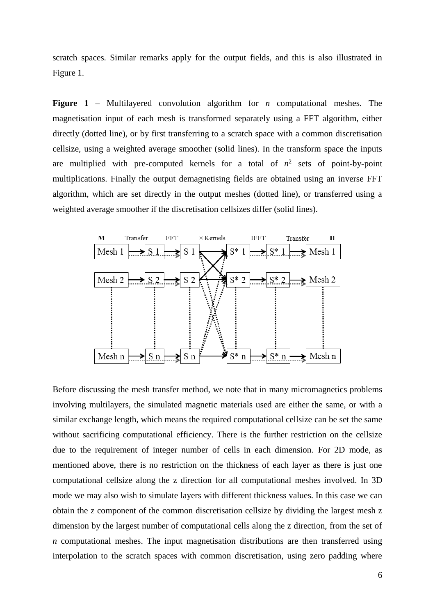scratch spaces. Similar remarks apply for the output fields, and this is also illustrated in Figure 1.

**Figure 1** – Multilayered convolution algorithm for *n* computational meshes. The magnetisation input of each mesh is transformed separately using a FFT algorithm, either directly (dotted line), or by first transferring to a scratch space with a common discretisation cellsize, using a weighted average smoother (solid lines). In the transform space the inputs are multiplied with pre-computed kernels for a total of  $n^2$  sets of point-by-point multiplications. Finally the output demagnetising fields are obtained using an inverse FFT algorithm, which are set directly in the output meshes (dotted line), or transferred using a weighted average smoother if the discretisation cellsizes differ (solid lines).



Before discussing the mesh transfer method, we note that in many micromagnetics problems involving multilayers, the simulated magnetic materials used are either the same, or with a similar exchange length, which means the required computational cellsize can be set the same without sacrificing computational efficiency. There is the further restriction on the cellsize due to the requirement of integer number of cells in each dimension. For 2D mode, as mentioned above, there is no restriction on the thickness of each layer as there is just one computational cellsize along the z direction for all computational meshes involved. In 3D mode we may also wish to simulate layers with different thickness values. In this case we can obtain the z component of the common discretisation cellsize by dividing the largest mesh z dimension by the largest number of computational cells along the z direction, from the set of *n* computational meshes. The input magnetisation distributions are then transferred using interpolation to the scratch spaces with common discretisation, using zero padding where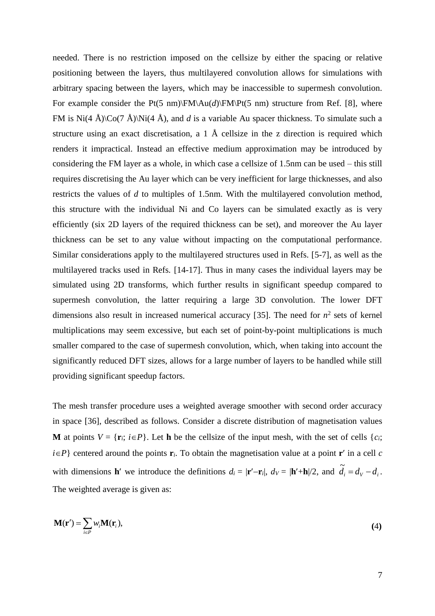needed. There is no restriction imposed on the cellsize by either the spacing or relative positioning between the layers, thus multilayered convolution allows for simulations with arbitrary spacing between the layers, which may be inaccessible to supermesh convolution. For example consider the Pt(5 nm) $\F{M\A u(d)}\F{M\Pt(5 nm)}$  structure from Ref. [\[8\]](#page-1-5), where FM is Ni(4 Å)\Co(7 Å)\Ni(4 Å), and *d* is a variable Au spacer thickness. To simulate such a structure using an exact discretisation, a 1 Å cellsize in the z direction is required which renders it impractical. Instead an effective medium approximation may be introduced by considering the FM layer as a whole, in which case a cellsize of 1.5nm can be used – this still requires discretising the Au layer which can be very inefficient for large thicknesses, and also restricts the values of *d* to multiples of 1.5nm. With the multilayered convolution method, this structure with the individual Ni and Co layers can be simulated exactly as is very efficiently (six 2D layers of the required thickness can be set), and moreover the Au layer thickness can be set to any value without impacting on the computational performance. Similar considerations apply to the multilayered structures used in Refs. [\[5](#page-1-4)[-7\]](#page-1-5), as well as the multilayered tracks used in Refs. [\[14](#page-1-2)[-17\]](#page-1-3). Thus in many cases the individual layers may be simulated using 2D transforms, which further results in significant speedup compared to supermesh convolution, the latter requiring a large 3D convolution. The lower DFT dimensions also result in increased numerical accuracy [35]. The need for  $n^2$  sets of kernel multiplications may seem excessive, but each set of point-by-point multiplications is much smaller compared to the case of supermesh convolution, which, when taking into account the significantly reduced DFT sizes, allows for a large number of layers to be handled while still providing significant speedup factors.

The mesh transfer procedure uses a weighted average smoother with second order accuracy in space [36], described as follows. Consider a discrete distribution of magnetisation values **M** at points  $V = \{r_i; i \in P\}$ . Let **h** be the cellsize of the input mesh, with the set of cells  $\{c_i;$  $i \in P$ } centered around the points  $\mathbf{r}_i$ . To obtain the magnetisation value at a point  $\mathbf{r}'$  in a cell *c* with dimensions **h**' we introduce the definitions  $d_i = |\mathbf{r}' - \mathbf{r}_i|$ ,  $d_V = |\mathbf{h}' + \mathbf{h}|/2$ , and  $\tilde{d}_i = d_V - d_i$ . The weighted average is given as:

$$
\mathbf{M}(\mathbf{r}') = \sum_{i \in P} w_i \mathbf{M}(\mathbf{r}_i),\tag{4}
$$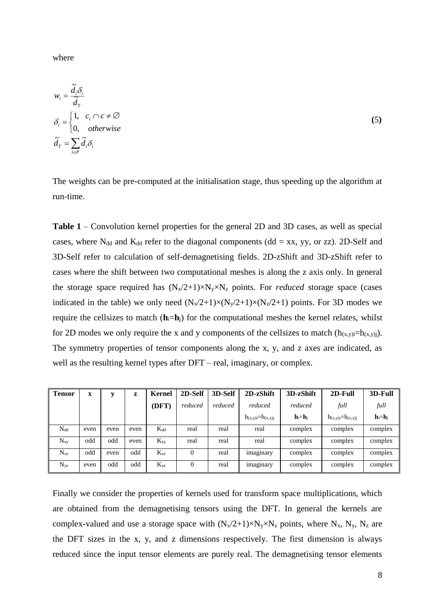where

$$
w_i = \frac{\tilde{d}_i \delta_i}{\tilde{d}_T}
$$
  
\n
$$
\delta_i = \begin{cases} 1, & c_i \cap c \neq \emptyset \\ 0, & otherwise \end{cases}
$$
  
\n
$$
\tilde{d}_T = \sum_{i \in P} \tilde{d}_i \delta_i
$$
\n(5)

The weights can be pre-computed at the initialisation stage, thus speeding up the algorithm at run-time.

**Table 1** – Convolution kernel properties for the general 2D and 3D cases, as well as special cases, where N<sub>dd</sub> and K<sub>dd</sub> refer to the diagonal components (dd = xx, yy, or zz). 2D-Self and 3D-Self refer to calculation of self-demagnetising fields. 2D-zShift and 3D-zShift refer to cases where the shift between two computational meshes is along the z axis only. In general the storage space required has  $(N_x/2+1)\times N_y\times N_z$  points. For *reduced* storage space (cases indicated in the table) we only need  $(N_x/2+1)\times(N_y/2+1)\times(N_z/2+1)$  points. For 3D modes we require the cellsizes to match  $(h_i = h_i)$  for the computational meshes the kernel relates, whilst for 2D modes we only require the x and y components of the cellsizes to match  $(h_{(x,y)i}=h_{(x,y)i})$ . The symmetry properties of tensor components along the x, y, and z axes are indicated, as well as the resulting kernel types after DFT – real, imaginary, or complex.

| <b>Tensor</b> | $\mathbf X$ | v    | z    | Kernel   | 2D-Self        | 3D-Self | 2D-zShift                 | 3D-zShift   | 2D-Full                   | 3D-Full   |
|---------------|-------------|------|------|----------|----------------|---------|---------------------------|-------------|---------------------------|-----------|
|               |             |      |      | (DFT)    | reduced        | reduced | reduced                   | reduced     | full                      | full      |
|               |             |      |      |          |                |         | $h_{(x,y)i} = h_{(x,y)i}$ | $h_i = h_i$ | $h_{(x,y)i} = h_{(x,y)i}$ | $h_i=h_i$ |
| $N_{dd}$      | even        | even | even | $K_{dd}$ | real           | real    | real                      | complex     | complex                   | complex   |
| $N_{xy}$      | odd         | odd  | even | $K_{xy}$ | real           | real    | real                      | complex     | complex                   | complex   |
| $N_{xz}$      | odd         | even | odd  | $K_{xz}$ | $\theta$       | real    | <i>imaginary</i>          | complex     | complex                   | complex   |
| $N_{yz}$      | even        | odd  | odd  | $K_{yz}$ | $\overline{0}$ | real    | imaginary                 | complex     | complex                   | complex   |

Finally we consider the properties of kernels used for transform space multiplications, which are obtained from the demagnetising tensors using the DFT. In general the kernels are complex-valued and use a storage space with  $(N_x/2+1)\times N_y\times N_z$  points, where  $N_x$ ,  $N_y$ ,  $N_z$  are the DFT sizes in the x, y, and z dimensions respectively. The first dimension is always reduced since the input tensor elements are purely real. The demagnetising tensor elements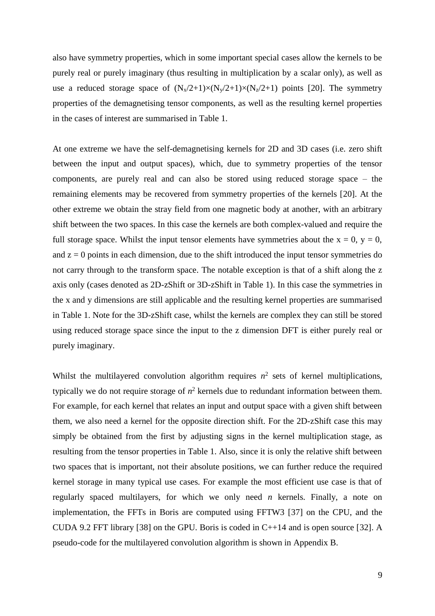also have symmetry properties, which in some important special cases allow the kernels to be purely real or purely imaginary (thus resulting in multiplication by a scalar only), as well as use a reduced storage space of  $(N_x/2+1)\times(N_y/2+1)\times(N_z/2+1)$  points [\[20\]](#page-1-0). The symmetry properties of the demagnetising tensor components, as well as the resulting kernel properties in the cases of interest are summarised in Table 1.

At one extreme we have the self-demagnetising kernels for 2D and 3D cases (i.e. zero shift between the input and output spaces), which, due to symmetry properties of the tensor components, are purely real and can also be stored using reduced storage space – the remaining elements may be recovered from symmetry properties of the kernels [\[20\]](#page-1-0). At the other extreme we obtain the stray field from one magnetic body at another, with an arbitrary shift between the two spaces. In this case the kernels are both complex-valued and require the full storage space. Whilst the input tensor elements have symmetries about the  $x = 0$ ,  $y = 0$ , and  $z = 0$  points in each dimension, due to the shift introduced the input tensor symmetries do not carry through to the transform space. The notable exception is that of a shift along the z axis only (cases denoted as 2D-zShift or 3D-zShift in Table 1). In this case the symmetries in the x and y dimensions are still applicable and the resulting kernel properties are summarised in Table 1. Note for the 3D-zShift case, whilst the kernels are complex they can still be stored using reduced storage space since the input to the z dimension DFT is either purely real or purely imaginary.

Whilst the multilayered convolution algorithm requires  $n^2$  sets of kernel multiplications, typically we do not require storage of  $n^2$  kernels due to redundant information between them. For example, for each kernel that relates an input and output space with a given shift between them, we also need a kernel for the opposite direction shift. For the 2D-zShift case this may simply be obtained from the first by adjusting signs in the kernel multiplication stage, as resulting from the tensor properties in Table 1. Also, since it is only the relative shift between two spaces that is important, not their absolute positions, we can further reduce the required kernel storage in many typical use cases. For example the most efficient use case is that of regularly spaced multilayers, for which we only need *n* kernels. Finally, a note on implementation, the FFTs in Boris are computed using FFTW3 [37] on the CPU, and the CUDA 9.2 FFT library [38] on the GPU. Boris is coded in  $C_{+1}$  and is open source [\[32\]](#page-2-1). A pseudo-code for the multilayered convolution algorithm is shown in Appendix B.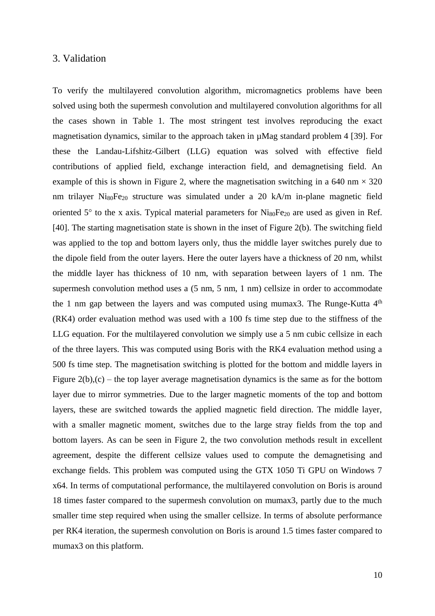## 3. Validation

To verify the multilayered convolution algorithm, micromagnetics problems have been solved using both the supermesh convolution and multilayered convolution algorithms for all the cases shown in Table 1. The most stringent test involves reproducing the exact magnetisation dynamics, similar to the approach taken in µMag standard problem 4 [39]. For these the Landau-Lifshitz-Gilbert (LLG) equation was solved with effective field contributions of applied field, exchange interaction field, and demagnetising field. An example of this is shown in Figure 2, where the magnetisation switching in a 640 nm  $\times$  320 nm trilayer Ni<sub>80</sub>Fe<sub>20</sub> structure was simulated under a 20 kA/m in-plane magnetic field oriented  $5^{\circ}$  to the x axis. Typical material parameters for Ni<sub>80</sub>Fe<sub>20</sub> are used as given in Ref. [40]. The starting magnetisation state is shown in the inset of Figure 2(b). The switching field was applied to the top and bottom layers only, thus the middle layer switches purely due to the dipole field from the outer layers. Here the outer layers have a thickness of 20 nm, whilst the middle layer has thickness of 10 nm, with separation between layers of 1 nm. The supermesh convolution method uses a  $(5 \text{ nm}, 5 \text{ nm}, 1 \text{ nm})$  cellsize in order to accommodate the 1 nm gap between the layers and was computed using mumax3. The Runge-Kutta 4<sup>th</sup> (RK4) order evaluation method was used with a 100 fs time step due to the stiffness of the LLG equation. For the multilayered convolution we simply use a 5 nm cubic cellsize in each of the three layers. This was computed using Boris with the RK4 evaluation method using a 500 fs time step. The magnetisation switching is plotted for the bottom and middle layers in Figure  $2(b)$ , (c) – the top layer average magnetisation dynamics is the same as for the bottom layer due to mirror symmetries. Due to the larger magnetic moments of the top and bottom layers, these are switched towards the applied magnetic field direction. The middle layer, with a smaller magnetic moment, switches due to the large stray fields from the top and bottom layers. As can be seen in Figure 2, the two convolution methods result in excellent agreement, despite the different cellsize values used to compute the demagnetising and exchange fields. This problem was computed using the GTX 1050 Ti GPU on Windows 7 x64. In terms of computational performance, the multilayered convolution on Boris is around 18 times faster compared to the supermesh convolution on mumax3, partly due to the much smaller time step required when using the smaller cellsize. In terms of absolute performance per RK4 iteration, the supermesh convolution on Boris is around 1.5 times faster compared to mumax3 on this platform.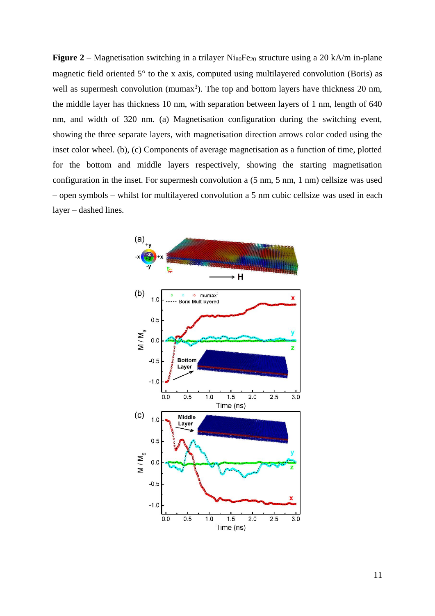**Figure 2** – Magnetisation switching in a trilayer Ni<sub>80</sub>Fe<sub>20</sub> structure using a 20 kA/m in-plane magnetic field oriented  $5^\circ$  to the x axis, computed using multilayered convolution (Boris) as well as supermesh convolution (mumax<sup>3</sup>). The top and bottom layers have thickness 20 nm, the middle layer has thickness 10 nm, with separation between layers of 1 nm, length of 640 nm, and width of 320 nm. (a) Magnetisation configuration during the switching event, showing the three separate layers, with magnetisation direction arrows color coded using the inset color wheel. (b), (c) Components of average magnetisation as a function of time, plotted for the bottom and middle layers respectively, showing the starting magnetisation configuration in the inset. For supermesh convolution a (5 nm, 5 nm, 1 nm) cellsize was used – open symbols – whilst for multilayered convolution a 5 nm cubic cellsize was used in each layer – dashed lines.

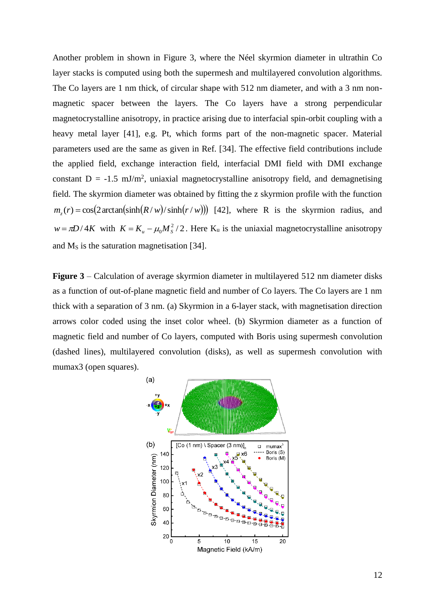Another problem in shown in Figure 3, where the Néel skyrmion diameter in ultrathin Co layer stacks is computed using both the supermesh and multilayered convolution algorithms. The Co layers are 1 nm thick, of circular shape with 512 nm diameter, and with a 3 nm nonmagnetic spacer between the layers. The Co layers have a strong perpendicular magnetocrystalline anisotropy, in practice arising due to interfacial spin-orbit coupling with a heavy metal layer [41], e.g. Pt, which forms part of the non-magnetic spacer. Material parameters used are the same as given in Ref. [\[34\]](#page-4-1). The effective field contributions include the applied field, exchange interaction field, interfacial DMI field with DMI exchange constant  $D = -1.5 \text{ mJ/m}^2$ , uniaxial magnetocrystalline anisotropy field, and demagnetising field. The skyrmion diameter was obtained by fitting the z skyrmion profile with the function  $m_z(r) = \cos(2 \arctan(\sinh(R/w)/\sinh(r/w)))$  [42], where R is the skyrmion radius, and  $w = \pi D / 4K$  with  $K = K_u - \mu_0 M_s^2 / 2$ . Here  $K_u$  is the uniaxial magnetocrystalline anisotropy and  $M<sub>S</sub>$  is the saturation magnetisation [\[34\]](#page-4-1).

**Figure 3** – Calculation of average skyrmion diameter in multilayered 512 nm diameter disks as a function of out-of-plane magnetic field and number of Co layers. The Co layers are 1 nm thick with a separation of 3 nm. (a) Skyrmion in a 6-layer stack, with magnetisation direction arrows color coded using the inset color wheel. (b) Skyrmion diameter as a function of magnetic field and number of Co layers, computed with Boris using supermesh convolution (dashed lines), multilayered convolution (disks), as well as supermesh convolution with mumax3 (open squares).

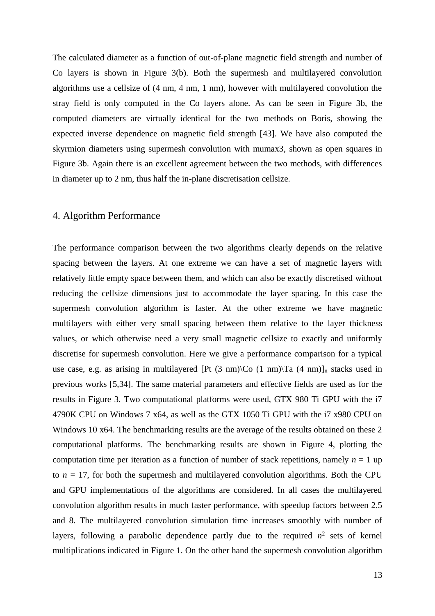The calculated diameter as a function of out-of-plane magnetic field strength and number of Co layers is shown in Figure 3(b). Both the supermesh and multilayered convolution algorithms use a cellsize of (4 nm, 4 nm, 1 nm), however with multilayered convolution the stray field is only computed in the Co layers alone. As can be seen in Figure 3b, the computed diameters are virtually identical for the two methods on Boris, showing the expected inverse dependence on magnetic field strength [43]. We have also computed the skyrmion diameters using supermesh convolution with mumax3, shown as open squares in Figure 3b. Again there is an excellent agreement between the two methods, with differences in diameter up to 2 nm, thus half the in-plane discretisation cellsize.

## 4. Algorithm Performance

The performance comparison between the two algorithms clearly depends on the relative spacing between the layers. At one extreme we can have a set of magnetic layers with relatively little empty space between them, and which can also be exactly discretised without reducing the cellsize dimensions just to accommodate the layer spacing. In this case the supermesh convolution algorithm is faster. At the other extreme we have magnetic multilayers with either very small spacing between them relative to the layer thickness values, or which otherwise need a very small magnetic cellsize to exactly and uniformly discretise for supermesh convolution. Here we give a performance comparison for a typical use case, e.g. as arising in multilayered [Pt  $(3 \text{ nm})\$ Co  $(1 \text{ nm})\$ Ta  $(4 \text{ nm})\$ n stacks used in previous works [\[5](#page-1-4)[,34\]](#page-4-1). The same material parameters and effective fields are used as for the results in Figure 3. Two computational platforms were used, GTX 980 Ti GPU with the i7 4790K CPU on Windows 7 x64, as well as the GTX 1050 Ti GPU with the i7 x980 CPU on Windows 10 x64. The benchmarking results are the average of the results obtained on these 2 computational platforms. The benchmarking results are shown in Figure 4, plotting the computation time per iteration as a function of number of stack repetitions, namely  $n = 1$  up to  $n = 17$ , for both the supermesh and multilayered convolution algorithms. Both the CPU and GPU implementations of the algorithms are considered. In all cases the multilayered convolution algorithm results in much faster performance, with speedup factors between 2.5 and 8. The multilayered convolution simulation time increases smoothly with number of layers, following a parabolic dependence partly due to the required  $n^2$  sets of kernel multiplications indicated in Figure 1. On the other hand the supermesh convolution algorithm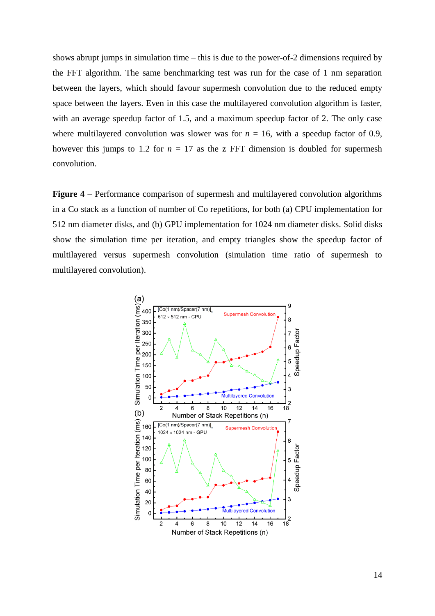shows abrupt jumps in simulation time – this is due to the power-of-2 dimensions required by the FFT algorithm. The same benchmarking test was run for the case of 1 nm separation between the layers, which should favour supermesh convolution due to the reduced empty space between the layers. Even in this case the multilayered convolution algorithm is faster, with an average speedup factor of 1.5, and a maximum speedup factor of 2. The only case where multilayered convolution was slower was for  $n = 16$ , with a speedup factor of 0.9, however this jumps to 1.2 for  $n = 17$  as the z FFT dimension is doubled for supermesh convolution.

**Figure 4** – Performance comparison of supermesh and multilayered convolution algorithms in a Co stack as a function of number of Co repetitions, for both (a) CPU implementation for 512 nm diameter disks, and (b) GPU implementation for 1024 nm diameter disks. Solid disks show the simulation time per iteration, and empty triangles show the speedup factor of multilayered versus supermesh convolution (simulation time ratio of supermesh to multilayered convolution).

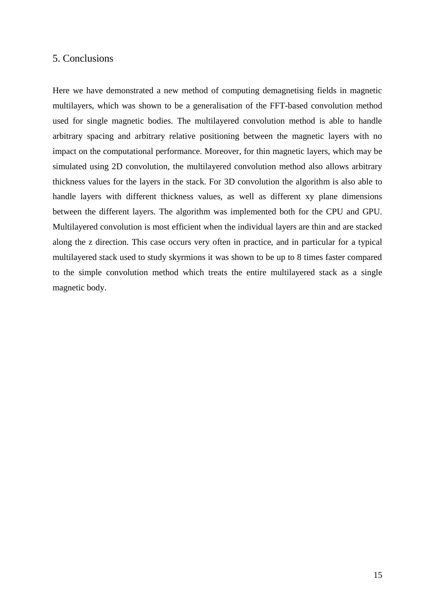## 5. Conclusions

Here we have demonstrated a new method of computing demagnetising fields in magnetic multilayers, which was shown to be a generalisation of the FFT-based convolution method used for single magnetic bodies. The multilayered convolution method is able to handle arbitrary spacing and arbitrary relative positioning between the magnetic layers with no impact on the computational performance. Moreover, for thin magnetic layers, which may be simulated using 2D convolution, the multilayered convolution method also allows arbitrary thickness values for the layers in the stack. For 3D convolution the algorithm is also able to handle layers with different thickness values, as well as different xy plane dimensions between the different layers. The algorithm was implemented both for the CPU and GPU. Multilayered convolution is most efficient when the individual layers are thin and are stacked along the z direction. This case occurs very often in practice, and in particular for a typical multilayered stack used to study skyrmions it was shown to be up to 8 times faster compared to the simple convolution method which treats the entire multilayered stack as a single magnetic body.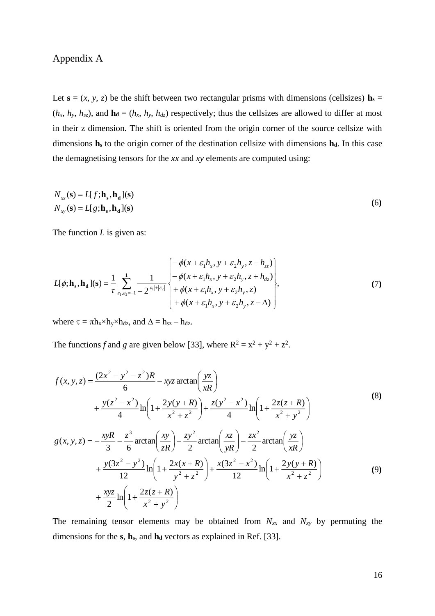# Appendix A

Let  $\mathbf{s} = (x, y, z)$  be the shift between two rectangular prisms with dimensions (cellsizes)  $\mathbf{h}_s =$  $(h_x, h_y, h_{sz})$ , and  $\mathbf{h}_d = (h_x, h_y, h_{dz})$  respectively; thus the cellsizes are allowed to differ at most in their z dimension. The shift is oriented from the origin corner of the source cellsize with dimensions **h<sup>s</sup>** to the origin corner of the destination cellsize with dimensions **hd**. In this case the demagnetising tensors for the *xx* and *xy* elements are computed using:

$$
N_{xx}(\mathbf{s}) = L[f; \mathbf{h}_{\mathbf{s}}, \mathbf{h}_{\mathbf{d}}](\mathbf{s})
$$
  
\n
$$
N_{xy}(\mathbf{s}) = L[g; \mathbf{h}_{\mathbf{s}}, \mathbf{h}_{\mathbf{d}}](\mathbf{s})
$$
\n(6)

The function *L* is given as:

$$
L[\phi; \mathbf{h}_{s}, \mathbf{h}_{d}](s) = \frac{1}{\tau} \sum_{\varepsilon_{1}, \varepsilon_{2} = -1}^{1} \frac{1}{-2^{|\varepsilon_{1}| + |\varepsilon_{2}|}} \begin{cases} -\phi(x + \varepsilon_{1}h_{x}, y + \varepsilon_{2}h_{y}, z - h_{sz}) \\ -\phi(x + \varepsilon_{1}h_{x}, y + \varepsilon_{2}h_{y}, z + h_{dz}) \\ +\phi(x + \varepsilon_{1}h_{x}, y + \varepsilon_{2}h_{y}, z) \\ +\phi(x + \varepsilon_{1}h_{x}, y + \varepsilon_{2}h_{y}, z - \Delta) \end{cases}
$$
(7)

where  $\tau = \pi h_x \times h_y \times h_{dz}$ , and  $\Delta = h_{sz} - h_{dz}$ .

The functions f and g are given below [\[33\]](#page-3-1), where  $R^2 = x^2 + y^2 + z^2$ .

$$
f(x, y, z) = \frac{(2x^2 - y^2 - z^2)R}{6} - xyz \arctan\left(\frac{yz}{xR}\right)
$$
  
+ 
$$
\frac{y(z^2 - x^2)}{4} \ln\left(1 + \frac{2y(y+R)}{x^2 + z^2}\right) + \frac{z(y^2 - x^2)}{4} \ln\left(1 + \frac{2z(z+R)}{x^2 + y^2}\right)
$$
  

$$
g(x, y, z) = -\frac{xyR}{3} - \frac{z^3}{6} \arctan\left(\frac{xy}{zR}\right) - \frac{zy^2}{2} \arctan\left(\frac{xz}{yR}\right) - \frac{zx^2}{2} \arctan\left(\frac{yz}{xR}\right)
$$
  
+ 
$$
\frac{y(3z^2 - y^2)}{12} \ln\left(1 + \frac{2x(x+R)}{y^2 + z^2}\right) + \frac{x(3z^2 - x^2)}{12} \ln\left(1 + \frac{2y(y+R)}{x^2 + z^2}\right)
$$
  
+ 
$$
\frac{xyz}{2} \ln\left(1 + \frac{2z(z+R)}{x^2 + y^2}\right)
$$
 (9)

The remaining tensor elements may be obtained from  $N_{xx}$  and  $N_{xy}$  by permuting the dimensions for the **s**, **hs**, and **h<sup>d</sup>** vectors as explained in Ref. [\[33\]](#page-3-1).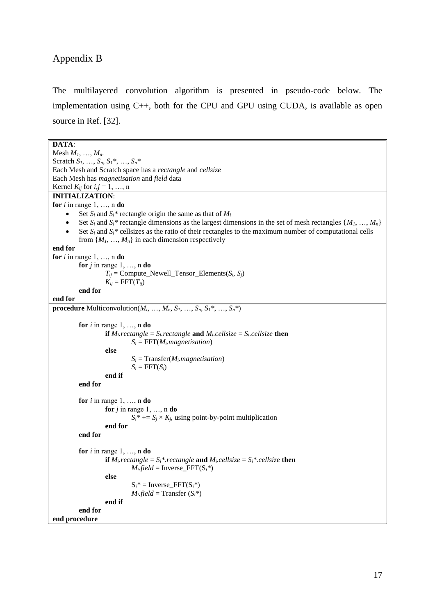# Appendix B

The multilayered convolution algorithm is presented in pseudo-code below. The implementation using C++, both for the CPU and GPU using CUDA, is available as open source in Ref. [\[32\]](#page-2-1).

```
DATA:
Mesh M1, …, Mn. 
Scratch S1, …, Sn, S1*, …, Sn*
Each Mesh and Scratch space has a rectangle and cellsize
Each Mesh has magnetisation and field data
Kernel K_{ij} for i, j = 1, ..., nINITIALIZATION:
for i in range 1, \ldots, n do
    Set S_i and S_i^* rectangle origin the same as that of M_iSet S_i and S_i^* rectangle dimensions as the largest dimensions in the set of mesh rectangles \{M_1, \ldots, M_n\}\bullet Set S_i and S_i^* cellsizes as the ratio of their rectangles to the maximum number of computational cells
         from \{M_1, \ldots, M_n\} in each dimension respectively
end for
for i in range 1, \ldots, n do
         for j in range 1, \ldots, n do
                   T_{ii} = Compute_Newell_Tensor_Elements(S_i, S_i)
                   K_{ij} = FFT(T_{ij})end for
end for
procedure Multiconvolution(M_i, …, M_n, S_1, …, S_n, S_1<sup>*</sup>, …, S_n<sup>*</sup>)
         for i in range 1, \ldots, n do
                   if M_irectangle = S_irectangle and M_icellsize = S_icellsize then
                             S_i = FFT(M_i,magnetisation)else
                             S_i = Transfer(M_i, magnetisation)
                             S_i = FFT(S_i)end if
         end for
         for i in range 1, \ldots, n do
                   for j in range 1, \ldots, n do
                             S_i^* += S_j \times K_j, using point-by-point multiplication
                   end for
         end for
         for i in range 1, \ldots, n do
                   if M_i.rectangle = S_i^*.rectangle and M_i.cellsize = S_i^*.cellsize then
                             M_ifield = Inverse_FFT(S_i^*)
                   else
                             S_i^* = Inverse FFT(S_i^*)
                             M_ifield = Transfer (S_i^*)end if
         end for
end procedure
```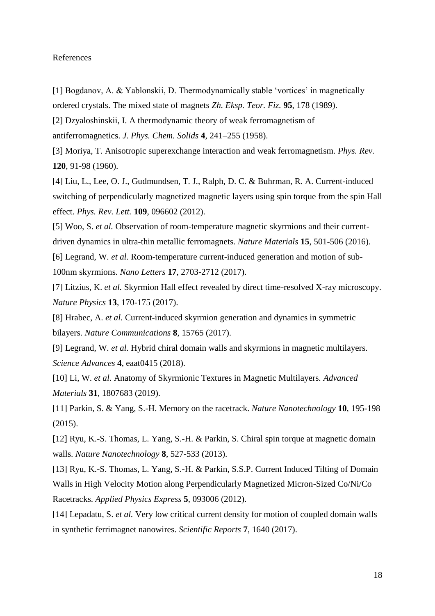#### References

[1] Bogdanov, A. & Yablonskii, D. Thermodynamically stable 'vortices' in magnetically ordered crystals. The mixed state of magnets *Zh. Eksp. Teor. Fiz.* **95**, 178 (1989).

[2] Dzyaloshinskii, I. A thermodynamic theory of weak ferromagnetism of

antiferromagnetics. *J. Phys. Chem. Solids* **4**, 241–255 (1958).

[3] Moriya, T. Anisotropic superexchange interaction and weak ferromagnetism. *Phys. Rev.* **120**, 91-98 (1960).

[4] Liu, L., Lee, O. J., Gudmundsen, T. J., Ralph, D. C. & Buhrman, R. A. Current-induced switching of perpendicularly magnetized magnetic layers using spin torque from the spin Hall effect. *Phys. Rev. Lett.* **109**, 096602 (2012).

[5] Woo, S. *et al.* Observation of room-temperature magnetic skyrmions and their currentdriven dynamics in ultra-thin metallic ferromagnets. *Nature Materials* **15**, 501-506 (2016).

[6] Legrand, W. *et al.* Room-temperature current-induced generation and motion of sub-100nm skyrmions. *Nano Letters* **17**, 2703-2712 (2017).

[7] Litzius, K. *et al.* Skyrmion Hall effect revealed by direct time-resolved X-ray microscopy. *Nature Physics* **13**, 170-175 (2017).

[8] Hrabec, A. *et al.* Current-induced skyrmion generation and dynamics in symmetric bilayers. *Nature Communications* **8**, 15765 (2017).

[9] Legrand, W. *et al.* Hybrid chiral domain walls and skyrmions in magnetic multilayers. *Science Advances* **4**, eaat0415 (2018).

[10] Li, W. *et al.* Anatomy of Skyrmionic Textures in Magnetic Multilayers. *Advanced Materials* **31**, 1807683 (2019).

[11] Parkin, S. & Yang, S.-H. Memory on the racetrack. *Nature Nanotechnology* **10**, 195-198 (2015).

[12] Ryu, K.-S. Thomas, L. Yang, S.-H. & Parkin, S. Chiral spin torque at magnetic domain walls. *Nature Nanotechnology* **8**, 527-533 (2013).

[13] Ryu, K.-S. Thomas, L. Yang, S.-H. & Parkin, S.S.P. Current Induced Tilting of Domain Walls in High Velocity Motion along Perpendicularly Magnetized Micron-Sized Co/Ni/Co Racetracks. *Applied Physics Express* **5**, 093006 (2012).

[14] Lepadatu, S. *et al.* Very low critical current density for motion of coupled domain walls in synthetic ferrimagnet nanowires. *Scientific Reports* **7**, 1640 (2017).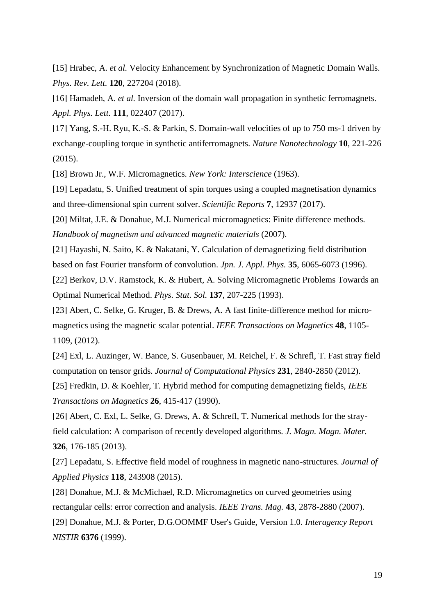[15] Hrabec, A. *et al.* Velocity Enhancement by Synchronization of Magnetic Domain Walls. *Phys. Rev. Lett.* **120**, 227204 (2018).

[16] Hamadeh, A. *et al.* Inversion of the domain wall propagation in synthetic ferromagnets. *Appl. Phys. Lett.* **111**, 022407 (2017).

[17] Yang, S.-H. Ryu, K.-S. & Parkin, S. Domain-wall velocities of up to 750 ms-1 driven by exchange-coupling torque in synthetic antiferromagnets. *Nature Nanotechnology* **10**, 221-226 (2015).

[18] Brown Jr., W.F. Micromagnetics. *New York: Interscience* (1963).

[19] Lepadatu, S. Unified treatment of spin torques using a coupled magnetisation dynamics and three-dimensional spin current solver. *Scientific Reports* **7**, 12937 (2017).

[20] Miltat, J.E. & Donahue, M.J. Numerical micromagnetics: Finite difference methods. *Handbook of magnetism and advanced magnetic materials* (2007).

[21] Hayashi, N. Saito, K. & Nakatani, Y. Calculation of demagnetizing field distribution based on fast Fourier transform of convolution. *Jpn. J. Appl. Phys.* **35**, 6065-6073 (1996).

[22] Berkov, D.V. Ramstock, K. & Hubert, A. Solving Micromagnetic Problems Towards an Optimal Numerical Method. *Phys. Stat. Sol.* **137**, 207-225 (1993).

[23] Abert, C. Selke, G. Kruger, B. & Drews, A. A fast finite-difference method for micromagnetics using the magnetic scalar potential. *IEEE Transactions on Magnetics* **48**, 1105- 1109, (2012).

[24] Exl, L. Auzinger, W. Bance, S. Gusenbauer, M. Reichel, F. & Schrefl, T. Fast stray field computation on tensor grids. *Journal of Computational Physics* **231**, 2840-2850 (2012).

[25] Fredkin, D. & Koehler, T. Hybrid method for computing demagnetizing fields, *IEEE Transactions on Magnetics* **26**, 415-417 (1990).

[26] Abert, C. Exl, L. Selke, G. Drews, A. & Schrefl, T. Numerical methods for the strayfield calculation: A comparison of recently developed algorithms. *J. Magn. Magn. Mater.* **326**, 176-185 (2013).

[27] Lepadatu, S. Effective field model of roughness in magnetic nano-structures. *Journal of Applied Physics* **118**, 243908 (2015).

[28] Donahue, M.J. & McMichael, R.D. Micromagnetics on curved geometries using rectangular cells: error correction and analysis. *IEEE Trans. Mag.* **43**, 2878-2880 (2007).

[29] Donahue, M.J. & Porter, D.G.OOMMF User's Guide, Version 1.0. *Interagency Report NISTIR* **6376** (1999).